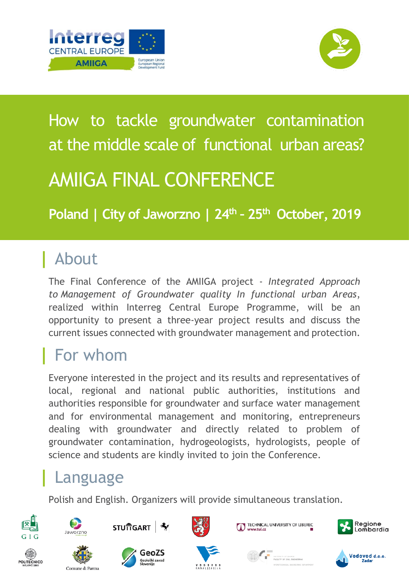



# How to tackle groundwater contamination at the middle scale of functional urban areas? AMIIGA FINAL CONFERENCE

**Poland | City of Jaworzno | 24th – 25th October, 2019**

# **|** About

The Final Conference of the AMIIGA project - *Integrated Approach to Management of Groundwater quality In functional urban Areas*, realized within Interreg Central Europe Programme, will be an opportunity to present a three-year project results and discuss the current issues connected with groundwater management and protection.

# **|** For whom

Everyone interested in the project and its results and representatives of local, regional and national public authorities, institutions and authorities responsible for groundwater and surface water management and for environmental management and monitoring, entrepreneurs dealing with groundwater and directly related to problem of groundwater contamination, hydrogeologists, hydrologists, people of science and students are kindly invited to join the Conference.

# **|** Language

Comune di Parma

Polish and English. Organizers will provide simultaneous translation.







GeoZS

ieološki zavor